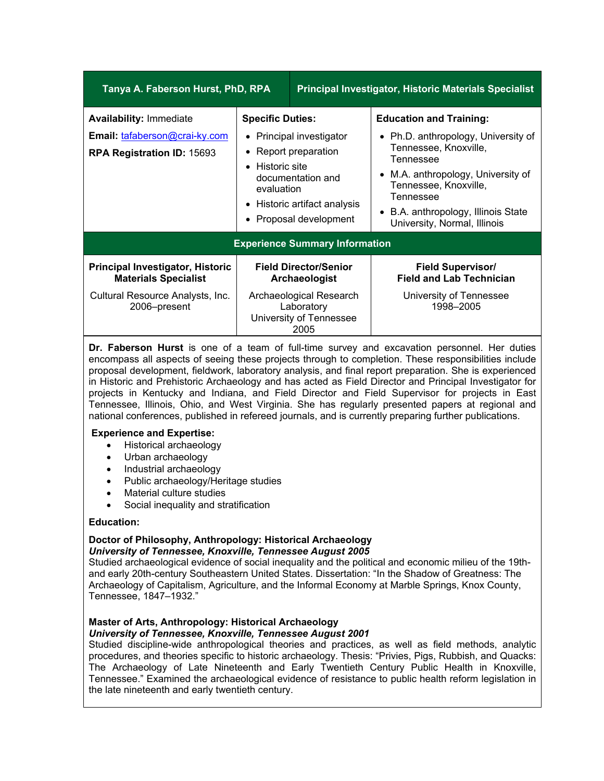| Tanya A. Faberson Hurst, PhD, RPA                                                             |                                                                                                                                                                                             | <b>Principal Investigator, Historic Materials Specialist</b>             |                                                                                                                                                                                                                                                                           |
|-----------------------------------------------------------------------------------------------|---------------------------------------------------------------------------------------------------------------------------------------------------------------------------------------------|--------------------------------------------------------------------------|---------------------------------------------------------------------------------------------------------------------------------------------------------------------------------------------------------------------------------------------------------------------------|
| <b>Availability: Immediate</b><br>Email: tafaberson@crai-ky.com<br>RPA Registration ID: 15693 | <b>Specific Duties:</b><br>• Principal investigator<br>• Report preparation<br>• Historic site<br>documentation and<br>evaluation<br>• Historic artifact analysis<br>• Proposal development |                                                                          | <b>Education and Training:</b><br>• Ph.D. anthropology, University of<br>Tennessee, Knoxville,<br>Tennessee<br>M.A. anthropology, University of<br>$\bullet$<br>Tennessee, Knoxville,<br>Tennessee<br>• B.A. anthropology, Illinois State<br>University, Normal, Illinois |
| <b>Experience Summary Information</b>                                                         |                                                                                                                                                                                             |                                                                          |                                                                                                                                                                                                                                                                           |
| <b>Principal Investigator, Historic</b><br><b>Materials Specialist</b>                        |                                                                                                                                                                                             | <b>Field Director/Senior</b><br>Archaeologist                            | <b>Field Supervisor/</b><br><b>Field and Lab Technician</b>                                                                                                                                                                                                               |
| Cultural Resource Analysts, Inc.<br>2006-present                                              |                                                                                                                                                                                             | Archaeological Research<br>Laboratory<br>University of Tennessee<br>2005 | University of Tennessee<br>1998-2005                                                                                                                                                                                                                                      |

**Dr. Faberson Hurst** is one of a team of full-time survey and excavation personnel. Her duties encompass all aspects of seeing these projects through to completion. These responsibilities include proposal development, fieldwork, laboratory analysis, and final report preparation. She is experienced in Historic and Prehistoric Archaeology and has acted as Field Director and Principal Investigator for projects in Kentucky and Indiana, and Field Director and Field Supervisor for projects in East Tennessee, Illinois, Ohio, and West Virginia. She has regularly presented papers at regional and national conferences, published in refereed journals, and is currently preparing further publications.

### **Experience and Expertise:**

- Historical archaeology
- Urban archaeology
- Industrial archaeology
- Public archaeology/Heritage studies
- Material culture studies
- Social inequality and stratification

### **Education:**

### **Doctor of Philosophy, Anthropology: Historical Archaeology** *University of Tennessee, Knoxville, Tennessee August 2005*

Studied archaeological evidence of social inequality and the political and economic milieu of the 19thand early 20th-century Southeastern United States. Dissertation: "In the Shadow of Greatness: The Archaeology of Capitalism, Agriculture, and the Informal Economy at Marble Springs, Knox County, Tennessee, 1847–1932."

## **Master of Arts, Anthropology: Historical Archaeology**

## *University of Tennessee, Knoxville, Tennessee August 2001*

Studied discipline-wide anthropological theories and practices, as well as field methods, analytic procedures, and theories specific to historic archaeology. Thesis: "Privies, Pigs, Rubbish, and Quacks: The Archaeology of Late Nineteenth and Early Twentieth Century Public Health in Knoxville, Tennessee." Examined the archaeological evidence of resistance to public health reform legislation in the late nineteenth and early twentieth century.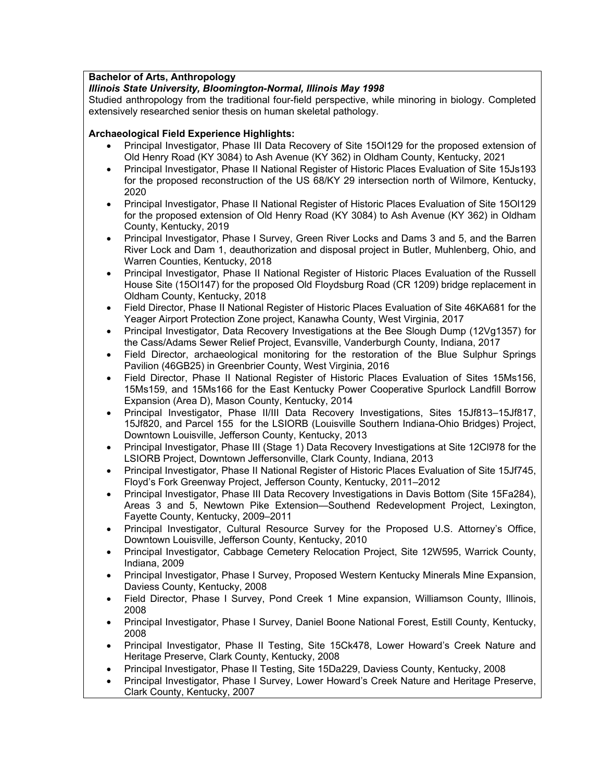# **Bachelor of Arts, Anthropology**

# *Illinois State University, Bloomington-Normal, Illinois May 1998*

Studied anthropology from the traditional four-field perspective, while minoring in biology. Completed extensively researched senior thesis on human skeletal pathology.

## **Archaeological Field Experience Highlights:**

- Principal Investigator, Phase III Data Recovery of Site 15Ol129 for the proposed extension of Old Henry Road (KY 3084) to Ash Avenue (KY 362) in Oldham County, Kentucky, 2021
- Principal Investigator, Phase II National Register of Historic Places Evaluation of Site 15Js193 for the proposed reconstruction of the US 68/KY 29 intersection north of Wilmore, Kentucky, 2020
- Principal Investigator, Phase II National Register of Historic Places Evaluation of Site 15Ol129 for the proposed extension of Old Henry Road (KY 3084) to Ash Avenue (KY 362) in Oldham County, Kentucky, 2019
- Principal Investigator, Phase I Survey, Green River Locks and Dams 3 and 5, and the Barren River Lock and Dam 1, deauthorization and disposal project in Butler, Muhlenberg, Ohio, and Warren Counties, Kentucky, 2018
- Principal Investigator, Phase II National Register of Historic Places Evaluation of the Russell House Site (15Ol147) for the proposed Old Floydsburg Road (CR 1209) bridge replacement in Oldham County, Kentucky, 2018
- Field Director, Phase II National Register of Historic Places Evaluation of Site 46KA681 for the Yeager Airport Protection Zone project, Kanawha County, West Virginia, 2017
- Principal Investigator, Data Recovery Investigations at the Bee Slough Dump (12Vg1357) for the Cass/Adams Sewer Relief Project, Evansville, Vanderburgh County, Indiana, 2017
- Field Director, archaeological monitoring for the restoration of the Blue Sulphur Springs Pavilion (46GB25) in Greenbrier County, West Virginia, 2016
- Field Director, Phase II National Register of Historic Places Evaluation of Sites 15Ms156, 15Ms159, and 15Ms166 for the East Kentucky Power Cooperative Spurlock Landfill Borrow Expansion (Area D), Mason County, Kentucky, 2014
- Principal Investigator, Phase II/III Data Recovery Investigations, Sites 15Jf813–15Jf817, 15Jf820, and Parcel 155 for the LSIORB (Louisville Southern Indiana-Ohio Bridges) Project, Downtown Louisville, Jefferson County, Kentucky, 2013
- Principal Investigator, Phase III (Stage 1) Data Recovery Investigations at Site 12Cl978 for the LSIORB Project, Downtown Jeffersonville, Clark County, Indiana, 2013
- Principal Investigator, Phase II National Register of Historic Places Evaluation of Site 15Jf745, Floyd's Fork Greenway Project, Jefferson County, Kentucky, 2011–2012
- Principal Investigator, Phase III Data Recovery Investigations in Davis Bottom (Site 15Fa284), Areas 3 and 5, Newtown Pike Extension—Southend Redevelopment Project, Lexington, Fayette County, Kentucky, 2009–2011
- Principal Investigator, Cultural Resource Survey for the Proposed U.S. Attorney's Office, Downtown Louisville, Jefferson County, Kentucky, 2010
- Principal Investigator, Cabbage Cemetery Relocation Project, Site 12W595, Warrick County, Indiana, 2009
- Principal Investigator, Phase I Survey, Proposed Western Kentucky Minerals Mine Expansion, Daviess County, Kentucky, 2008
- Field Director, Phase I Survey, Pond Creek 1 Mine expansion, Williamson County, Illinois, 2008
- Principal Investigator, Phase I Survey, Daniel Boone National Forest, Estill County, Kentucky, 2008
- Principal Investigator, Phase II Testing, Site 15Ck478, Lower Howard's Creek Nature and Heritage Preserve, Clark County, Kentucky, 2008
- Principal Investigator, Phase II Testing, Site 15Da229, Daviess County, Kentucky, 2008
- Principal Investigator, Phase I Survey, Lower Howard's Creek Nature and Heritage Preserve, Clark County, Kentucky, 2007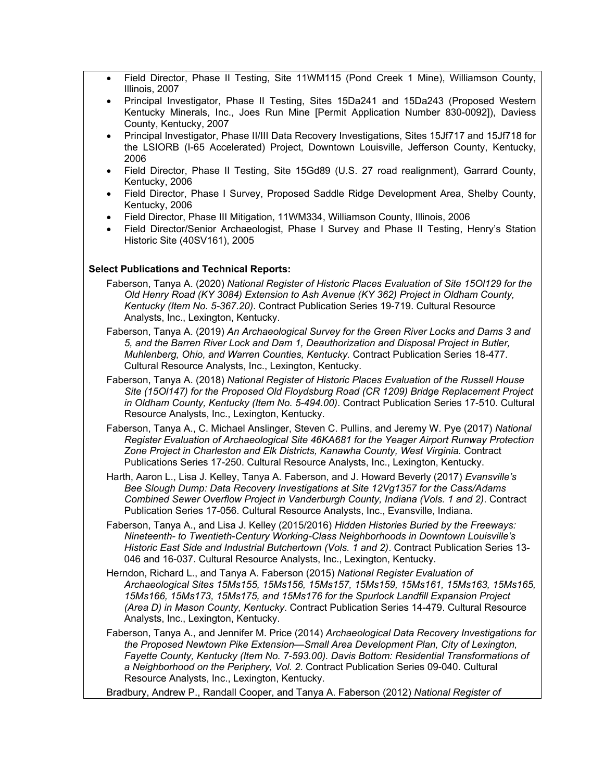- Field Director, Phase II Testing, Site 11WM115 (Pond Creek 1 Mine), Williamson County, Illinois, 2007
- Principal Investigator, Phase II Testing, Sites 15Da241 and 15Da243 (Proposed Western Kentucky Minerals, Inc., Joes Run Mine [Permit Application Number 830-0092]), Daviess County, Kentucky, 2007
- Principal Investigator, Phase II/III Data Recovery Investigations, Sites 15Jf717 and 15Jf718 for the LSIORB (I-65 Accelerated) Project, Downtown Louisville, Jefferson County, Kentucky, 2006
- Field Director, Phase II Testing, Site 15Gd89 (U.S. 27 road realignment), Garrard County, Kentucky, 2006
- Field Director, Phase I Survey, Proposed Saddle Ridge Development Area, Shelby County, Kentucky, 2006
- Field Director, Phase III Mitigation, 11WM334, Williamson County, Illinois, 2006
- Field Director/Senior Archaeologist, Phase I Survey and Phase II Testing, Henry's Station Historic Site (40SV161), 2005

### **Select Publications and Technical Reports:**

- Faberson, Tanya A. (2020) *National Register of Historic Places Evaluation of Site 15Ol129 for the Old Henry Road (KY 3084) Extension to Ash Avenue (KY 362) Project in Oldham County, Kentucky (Item No. 5-367.20)*. Contract Publication Series 19-719. Cultural Resource Analysts, Inc., Lexington, Kentucky.
- Faberson, Tanya A. (2019) *An Archaeological Survey for the Green River Locks and Dams 3 and 5, and the Barren River Lock and Dam 1, Deauthorization and Disposal Project in Butler, Muhlenberg, Ohio, and Warren Counties, Kentucky.* Contract Publication Series 18-477. Cultural Resource Analysts, Inc., Lexington, Kentucky.
- Faberson, Tanya A. (2018) *National Register of Historic Places Evaluation of the Russell House Site (15Ol147) for the Proposed Old Floydsburg Road (CR 1209) Bridge Replacement Project in Oldham County, Kentucky (Item No. 5-494.00)*. Contract Publication Series 17-510. Cultural Resource Analysts, Inc., Lexington, Kentucky.
- Faberson, Tanya A., C. Michael Anslinger, Steven C. Pullins, and Jeremy W. Pye (2017) *National Register Evaluation of Archaeological Site 46KA681 for the Yeager Airport Runway Protection Zone Project in Charleston and Elk Districts, Kanawha County, West Virginia.* Contract Publications Series 17-250. Cultural Resource Analysts, Inc., Lexington, Kentucky.
- Harth, Aaron L., Lisa J. Kelley, Tanya A. Faberson, and J. Howard Beverly (2017) *Evansville's Bee Slough Dump: Data Recovery Investigations at Site 12Vg1357 for the Cass/Adams Combined Sewer Overflow Project in Vanderburgh County, Indiana (Vols. 1 and 2)*. Contract Publication Series 17-056. Cultural Resource Analysts, Inc., Evansville, Indiana.
- Faberson, Tanya A., and Lisa J. Kelley (2015/2016) *Hidden Histories Buried by the Freeways: Nineteenth- to Twentieth-Century Working-Class Neighborhoods in Downtown Louisville's Historic East Side and Industrial Butchertown (Vols. 1 and 2)*. Contract Publication Series 13- 046 and 16-037. Cultural Resource Analysts, Inc., Lexington, Kentucky.
- Herndon, Richard L., and Tanya A. Faberson (2015) *National Register Evaluation of Archaeological Sites 15Ms155, 15Ms156, 15Ms157, 15Ms159, 15Ms161, 15Ms163, 15Ms165, 15Ms166, 15Ms173, 15Ms175, and 15Ms176 for the Spurlock Landfill Expansion Project (Area D) in Mason County, Kentucky*. Contract Publication Series 14-479. Cultural Resource Analysts, Inc., Lexington, Kentucky.
- Faberson, Tanya A., and Jennifer M. Price (2014) *Archaeological Data Recovery Investigations for the Proposed Newtown Pike Extension—Small Area Development Plan, City of Lexington, Fayette County, Kentucky (Item No. 7-593.00). Davis Bottom: Residential Transformations of a Neighborhood on the Periphery, Vol. 2*. Contract Publication Series 09-040. Cultural Resource Analysts, Inc., Lexington, Kentucky.
- Bradbury, Andrew P., Randall Cooper, and Tanya A. Faberson (2012) *National Register of*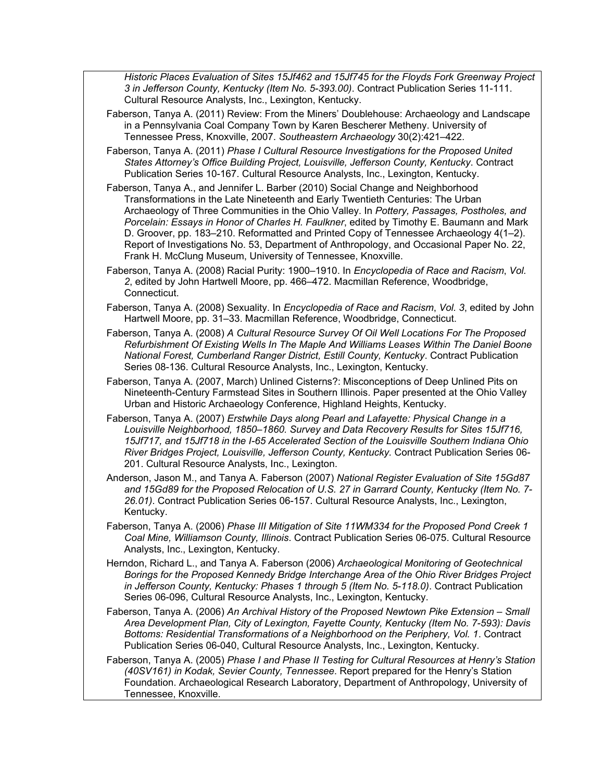*Historic Places Evaluation of Sites 15Jf462 and 15Jf745 for the Floyds Fork Greenway Project 3 in Jefferson County, Kentucky (Item No. 5-393.00)*. Contract Publication Series 11-111. Cultural Resource Analysts, Inc., Lexington, Kentucky.

- Faberson, Tanya A. (2011) Review: From the Miners' Doublehouse: Archaeology and Landscape in a Pennsylvania Coal Company Town by Karen Bescherer Metheny. University of Tennessee Press, Knoxville, 2007. *Southeastern Archaeology* 30(2):421–422.
- Faberson, Tanya A. (2011) *Phase I Cultural Resource Investigations for the Proposed United States Attorney's Office Building Project, Louisville, Jefferson County, Kentucky*. Contract Publication Series 10-167. Cultural Resource Analysts, Inc., Lexington, Kentucky.
- Faberson, Tanya A., and Jennifer L. Barber (2010) Social Change and Neighborhood Transformations in the Late Nineteenth and Early Twentieth Centuries: The Urban Archaeology of Three Communities in the Ohio Valley. In *Pottery, Passages, Postholes, and Porcelain: Essays in Honor of Charles H. Faulkner*, edited by Timothy E. Baumann and Mark D. Groover, pp. 183–210. Reformatted and Printed Copy of Tennessee Archaeology 4(1–2). Report of Investigations No. 53, Department of Anthropology, and Occasional Paper No. 22, Frank H. McClung Museum, University of Tennessee, Knoxville.
- Faberson, Tanya A. (2008) Racial Purity: 1900–1910. In *Encyclopedia of Race and Racism*, *Vol. 2*, edited by John Hartwell Moore, pp. 466–472. Macmillan Reference, Woodbridge, Connecticut.
- Faberson, Tanya A. (2008) Sexuality. In *Encyclopedia of Race and Racism*, *Vol. 3*, edited by John Hartwell Moore, pp. 31–33. Macmillan Reference, Woodbridge, Connecticut.
- Faberson, Tanya A. (2008) *A Cultural Resource Survey Of Oil Well Locations For The Proposed Refurbishment Of Existing Wells In The Maple And Williams Leases Within The Daniel Boone National Forest, Cumberland Ranger District, Estill County, Kentucky*. Contract Publication Series 08-136. Cultural Resource Analysts, Inc., Lexington, Kentucky.
- Faberson, Tanya A. (2007, March) Unlined Cisterns?: Misconceptions of Deep Unlined Pits on Nineteenth-Century Farmstead Sites in Southern Illinois. Paper presented at the Ohio Valley Urban and Historic Archaeology Conference, Highland Heights, Kentucky.
- Faberson, Tanya A. (2007) *Erstwhile Days along Pearl and Lafayette: Physical Change in a Louisville Neighborhood, 1850–1860. Survey and Data Recovery Results for Sites 15Jf716, 15Jf717, and 15Jf718 in the I-65 Accelerated Section of the Louisville Southern Indiana Ohio River Bridges Project, Louisville, Jefferson County, Kentucky.* Contract Publication Series 06- 201. Cultural Resource Analysts, Inc., Lexington.
- Anderson, Jason M., and Tanya A. Faberson (2007) *National Register Evaluation of Site 15Gd87 and 15Gd89 for the Proposed Relocation of U.S. 27 in Garrard County, Kentucky (Item No. 7- 26.01)*. Contract Publication Series 06-157. Cultural Resource Analysts, Inc., Lexington, Kentucky.
- Faberson, Tanya A. (2006) *Phase III Mitigation of Site 11WM334 for the Proposed Pond Creek 1 Coal Mine, Williamson County, Illinois*. Contract Publication Series 06-075. Cultural Resource Analysts, Inc., Lexington, Kentucky.
- Herndon, Richard L., and Tanya A. Faberson (2006) *Archaeological Monitoring of Geotechnical Borings for the Proposed Kennedy Bridge Interchange Area of the Ohio River Bridges Project in Jefferson County, Kentucky: Phases 1 through 5 (Item No. 5-118.0)*. Contract Publication Series 06-096, Cultural Resource Analysts, Inc., Lexington, Kentucky.
- Faberson, Tanya A. (2006) *An Archival History of the Proposed Newtown Pike Extension Small Area Development Plan, City of Lexington, Fayette County, Kentucky (Item No. 7-593): Davis Bottoms: Residential Transformations of a Neighborhood on the Periphery, Vol. 1*. Contract Publication Series 06-040, Cultural Resource Analysts, Inc., Lexington, Kentucky.
- Faberson, Tanya A. (2005) *Phase I and Phase II Testing for Cultural Resources at Henry's Station (40SV161) in Kodak, Sevier County, Tennessee*. Report prepared for the Henry's Station Foundation. Archaeological Research Laboratory, Department of Anthropology, University of Tennessee, Knoxville.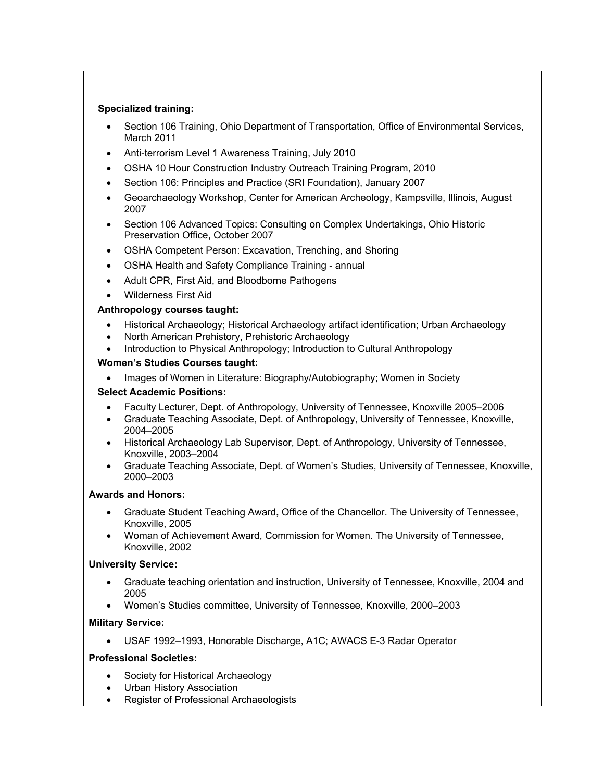### **Specialized training:**

- Section 106 Training, Ohio Department of Transportation, Office of Environmental Services, March 2011
- Anti-terrorism Level 1 Awareness Training, July 2010
- OSHA 10 Hour Construction Industry Outreach Training Program, 2010
- Section 106: Principles and Practice (SRI Foundation), January 2007
- Geoarchaeology Workshop, Center for American Archeology, Kampsville, Illinois, August 2007
- Section 106 Advanced Topics: Consulting on Complex Undertakings, Ohio Historic Preservation Office, October 2007
- OSHA Competent Person: Excavation, Trenching, and Shoring
- OSHA Health and Safety Compliance Training annual
- Adult CPR, First Aid, and Bloodborne Pathogens
- Wilderness First Aid

## **Anthropology courses taught:**

- Historical Archaeology; Historical Archaeology artifact identification; Urban Archaeology
- North American Prehistory, Prehistoric Archaeology
- Introduction to Physical Anthropology; Introduction to Cultural Anthropology

## **Women's Studies Courses taught:**

Images of Women in Literature: Biography/Autobiography; Women in Society

## **Select Academic Positions:**

- Faculty Lecturer, Dept. of Anthropology, University of Tennessee, Knoxville 2005–2006
- Graduate Teaching Associate, Dept. of Anthropology, University of Tennessee, Knoxville, 2004–2005
- Historical Archaeology Lab Supervisor, Dept. of Anthropology, University of Tennessee, Knoxville, 2003–2004
- Graduate Teaching Associate, Dept. of Women's Studies, University of Tennessee, Knoxville, 2000–2003

## **Awards and Honors:**

- Graduate Student Teaching Award**,** Office of the Chancellor. The University of Tennessee, Knoxville, 2005
- Woman of Achievement Award, Commission for Women. The University of Tennessee, Knoxville, 2002

## **University Service:**

- Graduate teaching orientation and instruction, University of Tennessee, Knoxville, 2004 and 2005
- Women's Studies committee, University of Tennessee, Knoxville, 2000–2003

## **Military Service:**

USAF 1992–1993, Honorable Discharge, A1C; AWACS E-3 Radar Operator

## **Professional Societies:**

- Society for Historical Archaeology
- Urban History Association
- Register of Professional Archaeologists